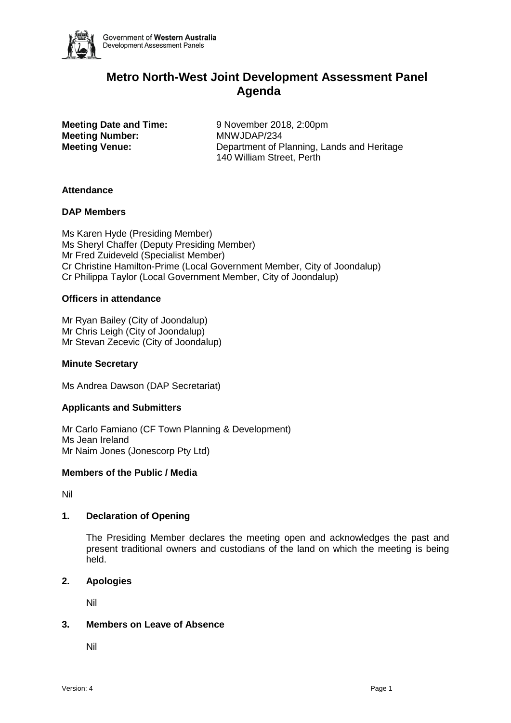

# **Metro North-West Joint Development Assessment Panel Agenda**

**Meeting Number:** MNWJDAP/234

**Meeting Date and Time:** 9 November 2018, 2:00pm **Meeting Venue:** Department of Planning, Lands and Heritage 140 William Street, Perth

# **Attendance**

#### **DAP Members**

Ms Karen Hyde (Presiding Member) Ms Sheryl Chaffer (Deputy Presiding Member) Mr Fred Zuideveld (Specialist Member) Cr Christine Hamilton-Prime (Local Government Member, City of Joondalup) Cr Philippa Taylor (Local Government Member, City of Joondalup)

#### **Officers in attendance**

Mr Ryan Bailey (City of Joondalup) Mr Chris Leigh (City of Joondalup) Mr Stevan Zecevic (City of Joondalup)

#### **Minute Secretary**

Ms Andrea Dawson (DAP Secretariat)

# **Applicants and Submitters**

Mr Carlo Famiano (CF Town Planning & Development) Ms Jean Ireland Mr Naim Jones (Jonescorp Pty Ltd)

# **Members of the Public / Media**

Nil

# **1. Declaration of Opening**

The Presiding Member declares the meeting open and acknowledges the past and present traditional owners and custodians of the land on which the meeting is being held.

#### **2. Apologies**

Nil

# **3. Members on Leave of Absence**

Nil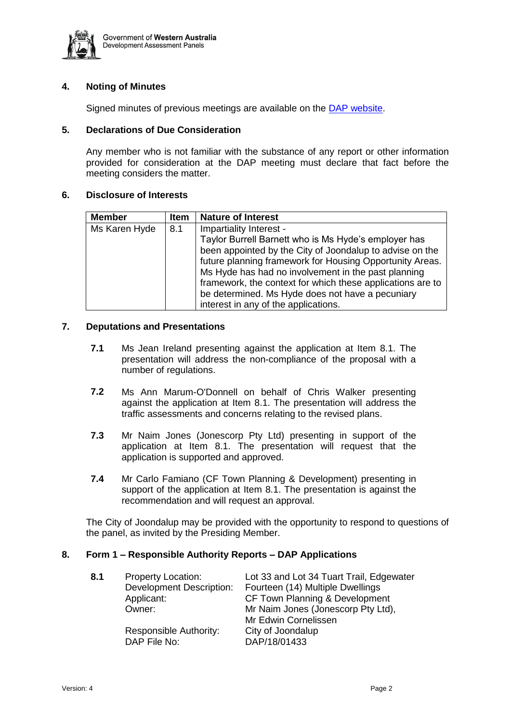

# **4. Noting of Minutes**

Signed minutes of previous meetings are available on the [DAP website.](https://www.planning.wa.gov.au/7578.aspx)

### **5. Declarations of Due Consideration**

Any member who is not familiar with the substance of any report or other information provided for consideration at the DAP meeting must declare that fact before the meeting considers the matter.

#### **6. Disclosure of Interests**

| <b>Member</b> | <b>Item</b> | <b>Nature of Interest</b>                                  |
|---------------|-------------|------------------------------------------------------------|
| Ms Karen Hyde | 8.1         | Impartiality Interest -                                    |
|               |             | Taylor Burrell Barnett who is Ms Hyde's employer has       |
|               |             | been appointed by the City of Joondalup to advise on the   |
|               |             | future planning framework for Housing Opportunity Areas.   |
|               |             | Ms Hyde has had no involvement in the past planning        |
|               |             | framework, the context for which these applications are to |
|               |             | be determined. Ms Hyde does not have a pecuniary           |
|               |             | interest in any of the applications.                       |

#### **7. Deputations and Presentations**

- **7.1** Ms Jean Ireland presenting against the application at Item 8.1. The presentation will address the non-compliance of the proposal with a number of regulations.
- **7.2** Ms Ann Marum-O'Donnell on behalf of Chris Walker presenting against the application at Item 8.1. The presentation will address the traffic assessments and concerns relating to the revised plans.
- **7.3** Mr Naim Jones (Jonescorp Pty Ltd) presenting in support of the application at Item 8.1. The presentation will request that the application is supported and approved.
- **7.4** Mr Carlo Famiano (CF Town Planning & Development) presenting in support of the application at Item 8.1. The presentation is against the recommendation and will request an approval.

The City of Joondalup may be provided with the opportunity to respond to questions of the panel, as invited by the Presiding Member.

# **8. Form 1 – Responsible Authority Reports – DAP Applications**

| 8.1 | <b>Property Location:</b><br><b>Development Description:</b><br>Applicant:<br>Owner: | Lot 33 and Lot 34 Tuart Trail, Edgewater<br>Fourteen (14) Multiple Dwellings<br>CF Town Planning & Development<br>Mr Naim Jones (Jonescorp Pty Ltd),<br>Mr Edwin Cornelissen |
|-----|--------------------------------------------------------------------------------------|------------------------------------------------------------------------------------------------------------------------------------------------------------------------------|
|     | Responsible Authority:<br>DAP File No:                                               | City of Joondalup<br>DAP/18/01433                                                                                                                                            |